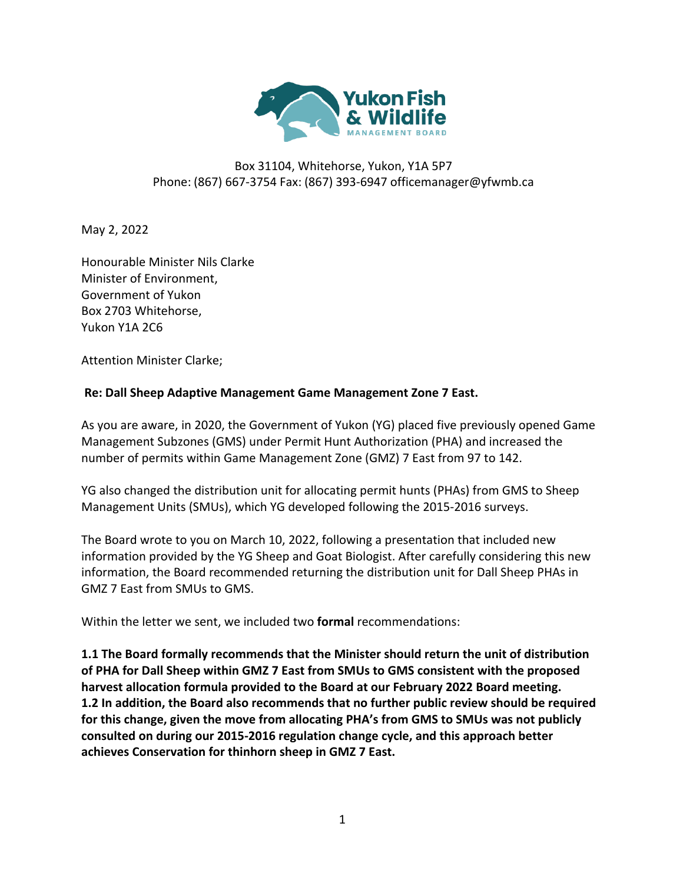

## Box 31104, Whitehorse, Yukon, Y1A 5P7 Phone: (867) 667-3754 Fax: (867) 393-6947 officemanager@yfwmb.ca

May 2, 2022

Honourable Minister Nils Clarke Minister of Environment, Government of Yukon Box 2703 Whitehorse, Yukon Y1A 2C6

Attention Minister Clarke;

## **Re: Dall Sheep Adaptive Management Game Management Zone 7 East.**

As you are aware, in 2020, the Government of Yukon (YG) placed five previously opened Game Management Subzones (GMS) under Permit Hunt Authorization (PHA) and increased the number of permits within Game Management Zone (GMZ) 7 East from 97 to 142.

YG also changed the distribution unit for allocating permit hunts (PHAs) from GMS to Sheep Management Units (SMUs), which YG developed following the 2015-2016 surveys.

The Board wrote to you on March 10, 2022, following a presentation that included new information provided by the YG Sheep and Goat Biologist. After carefully considering this new information, the Board recommended returning the distribution unit for Dall Sheep PHAs in GMZ 7 East from SMUs to GMS.

Within the letter we sent, we included two **formal** recommendations:

**1.1 The Board formally recommends that the Minister should return the unit of distribution of PHA for Dall Sheep within GMZ 7 East from SMUs to GMS consistent with the proposed harvest allocation formula provided to the Board at our February 2022 Board meeting. 1.2 In addition, the Board also recommends that no further public review should be required for this change, given the move from allocating PHA's from GMS to SMUs was not publicly consulted on during our 2015-2016 regulation change cycle, and this approach better achieves Conservation for thinhorn sheep in GMZ 7 East.**